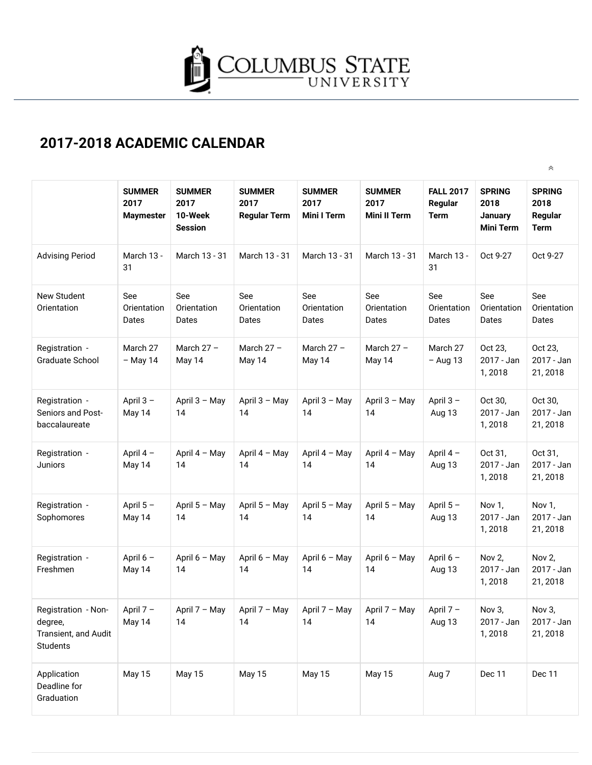

## **2017-2018 ACADEMIC CALENDAR**

|                                                                    |                                           |                                                    |                                              |                                             |                                              |                                            |                                                      | 《                                               |
|--------------------------------------------------------------------|-------------------------------------------|----------------------------------------------------|----------------------------------------------|---------------------------------------------|----------------------------------------------|--------------------------------------------|------------------------------------------------------|-------------------------------------------------|
|                                                                    | <b>SUMMER</b><br>2017<br><b>Maymester</b> | <b>SUMMER</b><br>2017<br>10-Week<br><b>Session</b> | <b>SUMMER</b><br>2017<br><b>Regular Term</b> | <b>SUMMER</b><br>2017<br><b>Mini I Term</b> | <b>SUMMER</b><br>2017<br><b>Mini II Term</b> | <b>FALL 2017</b><br>Regular<br><b>Term</b> | <b>SPRING</b><br>2018<br>January<br><b>Mini Term</b> | <b>SPRING</b><br>2018<br>Regular<br><b>Term</b> |
| <b>Advising Period</b>                                             | March 13 -<br>31                          | March 13 - 31                                      | March 13 - 31                                | March 13 - 31                               | March 13 - 31                                | March 13 -<br>31                           | Oct 9-27                                             | Oct 9-27                                        |
| <b>New Student</b><br>Orientation                                  | See<br>Orientation<br>Dates               | See<br>Orientation<br>Dates                        | See<br>Orientation<br>Dates                  | See<br>Orientation<br>Dates                 | See<br>Orientation<br>Dates                  | See<br>Orientation<br>Dates                | See<br>Orientation<br>Dates                          | See<br>Orientation<br>Dates                     |
| Registration -<br><b>Graduate School</b>                           | March 27<br>$-$ May 14                    | March $27 -$<br>May 14                             | March $27 -$<br>May 14                       | March $27 -$<br>May 14                      | March $27 -$<br>May 14                       | March 27<br>$-$ Aug 13                     | Oct 23,<br>2017 - Jan<br>1,2018                      | Oct 23,<br>2017 - Jan<br>21, 2018               |
| Registration -<br>Seniors and Post-<br>baccalaureate               | April 3-<br>May 14                        | April 3 - May<br>14                                | April $3 - May$<br>14                        | April 3 - May<br>14                         | April $3 - May$<br>14                        | April $3 -$<br>Aug 13                      | Oct 30,<br>2017 - Jan<br>1,2018                      | Oct 30,<br>2017 - Jan<br>21, 2018               |
| Registration -<br>Juniors                                          | April 4-<br>May 14                        | April 4 - May<br>14                                | April 4 - May<br>14                          | April 4 - May<br>14                         | April 4 - May<br>14                          | April 4-<br>Aug 13                         | Oct 31,<br>2017 - Jan<br>1,2018                      | Oct 31,<br>2017 - Jan<br>21, 2018               |
| Registration -<br>Sophomores                                       | April 5-<br>May 14                        | April 5 - May<br>14                                | April $5 - May$<br>14                        | April 5 - May<br>14                         | April 5 - May<br>14                          | April 5-<br>Aug 13                         | Nov 1,<br>2017 - Jan<br>1,2018                       | Nov 1,<br>2017 - Jan<br>21, 2018                |
| Registration -<br>Freshmen                                         | April 6 -<br>May 14                       | April 6 - May<br>14                                | April 6 - May<br>14                          | April 6 - May<br>14                         | April 6 - May<br>14                          | April 6 -<br>Aug 13                        | Nov 2,<br>2017 - Jan<br>1,2018                       | Nov 2,<br>2017 - Jan<br>21, 2018                |
| Registration - Non-<br>degree,<br>Transient, and Audit<br>Students | April 7-<br>May 14                        | April 7 - May<br>14                                | April 7 - May<br>14                          | April 7 - May<br>14                         | April 7 - May<br>14                          | April 7-<br>Aug 13                         | Nov 3,<br>2017 - Jan<br>1,2018                       | Nov 3,<br>2017 - Jan<br>21, 2018                |
| Application<br>Deadline for<br>Graduation                          | <b>May 15</b>                             | <b>May 15</b>                                      | May 15                                       | May 15                                      | <b>May 15</b>                                | Aug 7                                      | Dec 11                                               | Dec 11                                          |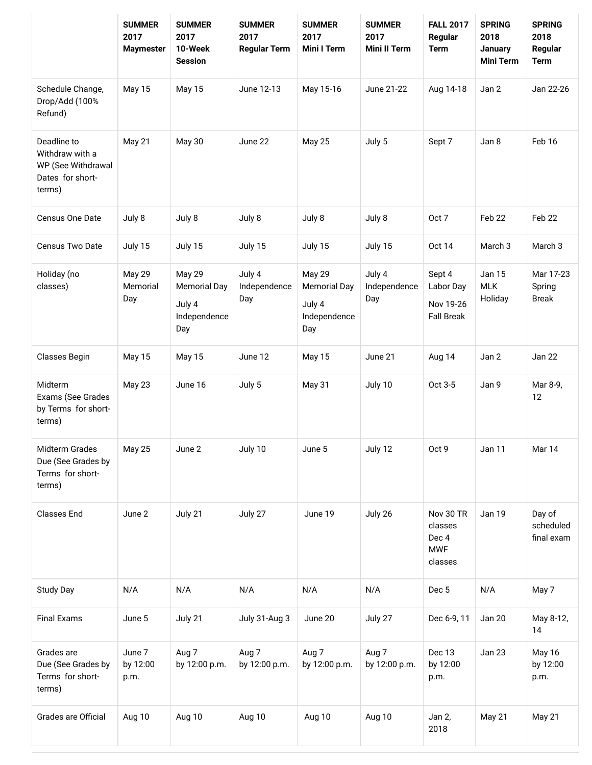|                                                                                    | <b>SUMMER</b><br>2017<br><b>Maymester</b> | <b>SUMMER</b><br>2017<br>10-Week<br><b>Session</b>                    | <b>SUMMER</b><br>2017<br><b>Regular Term</b> | <b>SUMMER</b><br>2017<br><b>Mini I Term</b>                    | <b>SUMMER</b><br>2017<br><b>Mini II Term</b> | <b>FALL 2017</b><br>Regular<br><b>Term</b>             | <b>SPRING</b><br>2018<br>January<br><b>Mini Term</b> | <b>SPRING</b><br>2018<br>Regular<br><b>Term</b> |
|------------------------------------------------------------------------------------|-------------------------------------------|-----------------------------------------------------------------------|----------------------------------------------|----------------------------------------------------------------|----------------------------------------------|--------------------------------------------------------|------------------------------------------------------|-------------------------------------------------|
| Schedule Change,<br>Drop/Add (100%<br>Refund)                                      | May 15                                    | <b>May 15</b>                                                         | June 12-13                                   | May 15-16                                                      | June 21-22                                   | Aug 14-18                                              | Jan 2                                                | Jan 22-26                                       |
| Deadline to<br>Withdraw with a<br>WP (See Withdrawal<br>Dates for short-<br>terms) | May 21                                    | May 30                                                                | June 22                                      | <b>May 25</b>                                                  | July 5                                       | Sept 7                                                 | Jan 8                                                | Feb 16                                          |
| Census One Date                                                                    | July 8                                    | July 8                                                                | July 8                                       | July 8                                                         | July 8                                       | Oct 7                                                  | Feb 22                                               | Feb 22                                          |
| Census Two Date                                                                    | July 15                                   | July 15                                                               | July 15                                      | July 15                                                        | July 15                                      | <b>Oct 14</b>                                          | March 3                                              | March <sub>3</sub>                              |
| Holiday (no<br>classes)                                                            | <b>May 29</b><br>Memorial<br>Day          | <b>May 29</b><br><b>Memorial Day</b><br>July 4<br>Independence<br>Day | July 4<br>Independence<br>Day                | May 29<br><b>Memorial Day</b><br>July 4<br>Independence<br>Day | July 4<br>Independence<br>Day                | Sept 4<br>Labor Day<br>Nov 19-26<br><b>Fall Break</b>  | <b>Jan 15</b><br><b>MLK</b><br>Holiday               | Mar 17-23<br>Spring<br><b>Break</b>             |
| Classes Begin                                                                      | <b>May 15</b>                             | <b>May 15</b>                                                         | June 12                                      | May 15                                                         | June 21                                      | Aug 14                                                 | Jan 2                                                | Jan 22                                          |
| Midterm<br>Exams (See Grades<br>by Terms for short-<br>terms)                      | May 23                                    | June 16                                                               | July 5                                       | May 31                                                         | July 10                                      | Oct 3-5                                                | Jan 9                                                | Mar 8-9,<br>12                                  |
| Midterm Grades<br>Due (See Grades by<br>Terms for short-<br>terms)                 | <b>May 25</b>                             | June 2                                                                | July 10                                      | June 5                                                         | July 12                                      | Oct 9                                                  | Jan 11                                               | Mar 14                                          |
| <b>Classes End</b>                                                                 | June 2                                    | July 21                                                               | July 27                                      | June 19                                                        | July 26                                      | Nov 30 TR<br>classes<br>Dec 4<br><b>MWF</b><br>classes | Jan 19                                               | Day of<br>scheduled<br>final exam               |
| <b>Study Day</b>                                                                   | N/A                                       | N/A                                                                   | N/A                                          | N/A                                                            | N/A                                          | Dec 5                                                  | N/A                                                  | May 7                                           |
| <b>Final Exams</b>                                                                 | June 5                                    | July 21                                                               | July 31-Aug 3                                | June 20                                                        | July 27                                      | Dec 6-9, 11                                            | Jan 20                                               | May 8-12,<br>14                                 |
| Grades are<br>Due (See Grades by<br>Terms for short-<br>terms)                     | June 7<br>by 12:00<br>p.m.                | Aug 7<br>by 12:00 p.m.                                                | Aug 7<br>by 12:00 p.m.                       | Aug 7<br>by 12:00 p.m.                                         | Aug 7<br>by 12:00 p.m.                       | Dec 13<br>by 12:00<br>p.m.                             | Jan 23                                               | May 16<br>by 12:00<br>p.m.                      |
| Grades are Official                                                                | Aug 10                                    | Aug 10                                                                | Aug 10                                       | Aug 10                                                         | Aug 10                                       | Jan 2,<br>2018                                         | May 21                                               | May 21                                          |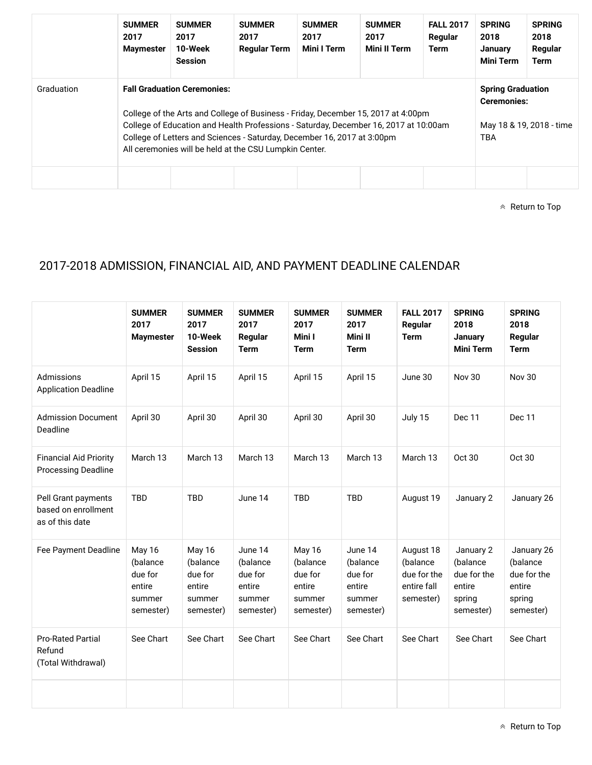|            | <b>SUMMER</b><br>2017<br><b>Maymester</b> | <b>SUMMER</b><br>2017<br>10-Week<br><b>Session</b>                                                                                                                                                                                                                                                                                                   | <b>SUMMER</b><br>2017<br><b>Regular Term</b> | <b>SUMMER</b><br>2017<br>Mini I Term | <b>SUMMER</b><br>2017<br><b>Mini II Term</b> | <b>FALL 2017</b><br>Regular<br>Term | <b>SPRING</b><br>2018<br>January<br><b>Mini Term</b> | <b>SPRING</b><br>2018<br>Regular<br>Term                                   |
|------------|-------------------------------------------|------------------------------------------------------------------------------------------------------------------------------------------------------------------------------------------------------------------------------------------------------------------------------------------------------------------------------------------------------|----------------------------------------------|--------------------------------------|----------------------------------------------|-------------------------------------|------------------------------------------------------|----------------------------------------------------------------------------|
| Graduation |                                           | <b>Fall Graduation Ceremonies:</b><br>College of the Arts and College of Business - Friday, December 15, 2017 at 4:00pm<br>College of Education and Health Professions - Saturday, December 16, 2017 at 10:00am<br>College of Letters and Sciences - Saturday, December 16, 2017 at 3:00pm<br>All ceremonies will be held at the CSU Lumpkin Center. |                                              |                                      |                                              |                                     |                                                      | <b>Spring Graduation</b><br><b>Ceremonies:</b><br>May 18 & 19, 2018 - time |

 $\triangle$  Return to Top

## 2017-2018 ADMISSION, FINANCIAL AID, AND PAYMENT DEADLINE CALENDAR

|                                                               | <b>SUMMER</b><br>2017<br><b>Maymester</b>                             | <b>SUMMER</b><br>2017<br>10-Week<br><b>Session</b>             | <b>SUMMER</b><br>2017<br>Regular<br><b>Term</b>                 | <b>SUMMER</b><br>2017<br>Mini I<br><b>Term</b>                 | <b>SUMMER</b><br>2017<br>Mini II<br><b>Term</b>                 | <b>FALL 2017</b><br>Regular<br><b>Term</b>                       | <b>SPRING</b><br>2018<br><b>January</b><br><b>Mini Term</b>           | <b>SPRING</b><br>2018<br>Regular<br><b>Term</b>                        |
|---------------------------------------------------------------|-----------------------------------------------------------------------|----------------------------------------------------------------|-----------------------------------------------------------------|----------------------------------------------------------------|-----------------------------------------------------------------|------------------------------------------------------------------|-----------------------------------------------------------------------|------------------------------------------------------------------------|
| Admissions<br><b>Application Deadline</b>                     | April 15                                                              | April 15                                                       | April 15                                                        | April 15                                                       | April 15                                                        | June 30                                                          | <b>Nov 30</b>                                                         | <b>Nov 30</b>                                                          |
| <b>Admission Document</b><br>Deadline                         | April 30                                                              | April 30                                                       | April 30                                                        | April 30                                                       | April 30                                                        | July 15                                                          | Dec 11                                                                | Dec 11                                                                 |
| <b>Financial Aid Priority</b><br><b>Processing Deadline</b>   | March 13                                                              | March 13                                                       | March 13                                                        | March 13                                                       | March 13                                                        | March 13                                                         | Oct 30                                                                | Oct 30                                                                 |
| Pell Grant payments<br>based on enrollment<br>as of this date | <b>TBD</b>                                                            | <b>TBD</b>                                                     | June 14                                                         | <b>TBD</b>                                                     | <b>TBD</b>                                                      | August 19                                                        | January 2                                                             | January 26                                                             |
| Fee Payment Deadline                                          | <b>May 16</b><br>(balance<br>due for<br>entire<br>summer<br>semester) | May 16<br>(balance<br>due for<br>entire<br>summer<br>semester) | June 14<br>(balance<br>due for<br>entire<br>summer<br>semester) | May 16<br>(balance<br>due for<br>entire<br>summer<br>semester) | June 14<br>(balance<br>due for<br>entire<br>summer<br>semester) | August 18<br>(balance<br>due for the<br>entire fall<br>semester) | January 2<br>(balance<br>due for the<br>entire<br>spring<br>semester) | January 26<br>(balance<br>due for the<br>entire<br>spring<br>semester) |
| <b>Pro-Rated Partial</b><br>Refund<br>(Total Withdrawal)      | See Chart                                                             | See Chart                                                      | See Chart                                                       | See Chart                                                      | See Chart                                                       | See Chart                                                        | See Chart                                                             | See Chart                                                              |
|                                                               |                                                                       |                                                                |                                                                 |                                                                |                                                                 |                                                                  |                                                                       |                                                                        |